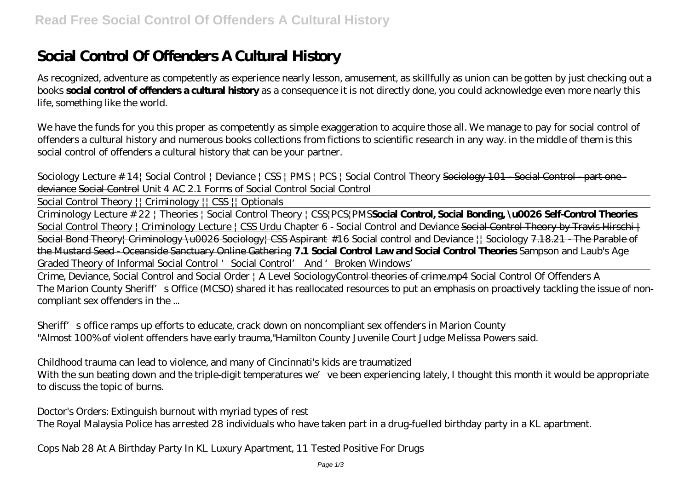# **Social Control Of Offenders A Cultural History**

As recognized, adventure as competently as experience nearly lesson, amusement, as skillfully as union can be gotten by just checking out a books **social control of offenders a cultural history** as a consequence it is not directly done, you could acknowledge even more nearly this life, something like the world.

We have the funds for you this proper as competently as simple exaggeration to acquire those all. We manage to pay for social control of offenders a cultural history and numerous books collections from fictions to scientific research in any way. in the middle of them is this social control of offenders a cultural history that can be your partner.

*Sociology Lecture # 14| Social Control | Deviance | CSS | PMS | PCS |* Social Control Theory Sociology 101 - Social Control - part one deviance Social Control Unit 4 AC 2.1 Forms of Social Control Social Control

Social Control Theory || Criminology || CSS || Optionals

Criminology Lecture # 22 | Theories | Social Control Theory | CSS|PCS|PMS**Social Control, Social Bonding, \u0026 Self-Control Theories** Social Control Theory | Criminology Lecture | CSS Urdu *Chapter 6 - Social Control and Deviance* Social Control Theory by Travis Hirschi | Social Bond Theory| Criminology \u0026 Sociology| CSS Aspirant *#16 Social control and Deviance || Sociology* 7.18.21 - The Parable of the Mustard Seed - Oceanside Sanctuary Online Gathering **7.1 Social Control Law and Social Control Theories** *Sampson and Laub's Age Graded Theory of Informal Social Control 'Social Control' And 'Broken Windows'*

Crime, Deviance, Social Control and Social Order | A Level SociologyControl theories of crime.mp4 *Social Control Of Offenders A* The Marion County Sheriff's Office (MCSO) shared it has reallocated resources to put an emphasis on proactively tackling the issue of noncompliant sex offenders in the ...

*Sheriff's office ramps up efforts to educate, crack down on noncompliant sex offenders in Marion County* "Almost 100% of violent offenders have early trauma,"Hamilton County Juvenile Court Judge Melissa Powers said.

*Childhood trauma can lead to violence, and many of Cincinnati's kids are traumatized*

With the sun beating down and the triple-digit temperatures we've been experiencing lately, I thought this month it would be appropriate to discuss the topic of burns.

*Doctor's Orders: Extinguish burnout with myriad types of rest* The Royal Malaysia Police has arrested 28 individuals who have taken part in a drug-fuelled birthday party in a KL apartment.

*Cops Nab 28 At A Birthday Party In KL Luxury Apartment, 11 Tested Positive For Drugs*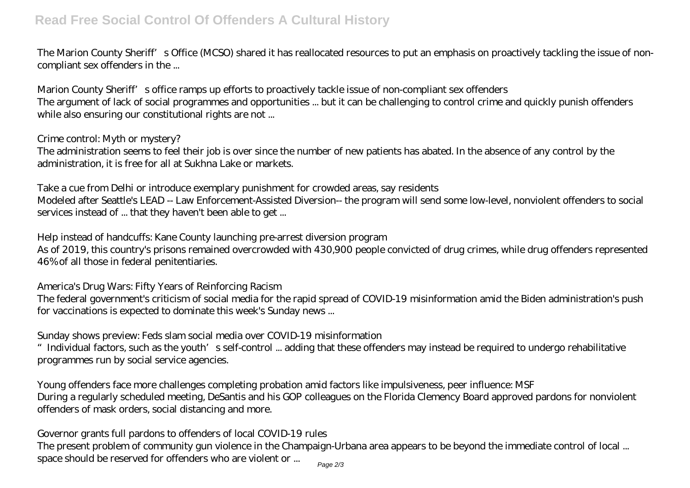The Marion County Sheriff's Office (MCSO) shared it has reallocated resources to put an emphasis on proactively tackling the issue of noncompliant sex offenders in the ...

*Marion County Sheriff's office ramps up efforts to proactively tackle issue of non-compliant sex offenders* The argument of lack of social programmes and opportunities ... but it can be challenging to control crime and quickly punish offenders while also ensuring our constitutional rights are not ...

## *Crime control: Myth or mystery?*

The administration seems to feel their job is over since the number of new patients has abated. In the absence of any control by the administration, it is free for all at Sukhna Lake or markets.

## *Take a cue from Delhi or introduce exemplary punishment for crowded areas, say residents*

Modeled after Seattle's LEAD -- Law Enforcement-Assisted Diversion-- the program will send some low-level, nonviolent offenders to social services instead of ... that they haven't been able to get ...

## *Help instead of handcuffs: Kane County launching pre-arrest diversion program*

As of 2019, this country's prisons remained overcrowded with 430,900 people convicted of drug crimes, while drug offenders represented 46% of all those in federal penitentiaries.

## *America's Drug Wars: Fifty Years of Reinforcing Racism*

The federal government's criticism of social media for the rapid spread of COVID-19 misinformation amid the Biden administration's push for vaccinations is expected to dominate this week's Sunday news ...

## *Sunday shows preview: Feds slam social media over COVID-19 misinformation*

"Individual factors, such as the youth's self-control ... adding that these offenders may instead be required to undergo rehabilitative programmes run by social service agencies.

*Young offenders face more challenges completing probation amid factors like impulsiveness, peer influence: MSF* During a regularly scheduled meeting, DeSantis and his GOP colleagues on the Florida Clemency Board approved pardons for nonviolent offenders of mask orders, social distancing and more.

# *Governor grants full pardons to offenders of local COVID-19 rules*

The present problem of community gun violence in the Champaign-Urbana area appears to be beyond the immediate control of local ... space should be reserved for offenders who are violent or ... Page 2/3